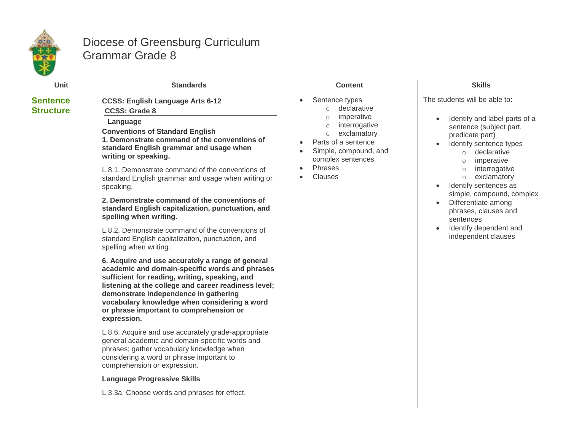

## Diocese of Greensburg Curriculum Grammar Grade 8

| Unit                                | <b>Standards</b>                                                                                                                                                                                                                                                                                                                                                                                                                                                                                                                                                                                                                                                                                                                                                                                                                                                                                                                                                                                                                                                                                                                                                                                                                                                                                                              | <b>Content</b>                                                                                                                                                                                                     | <b>Skills</b>                                                                                                                                                                                                                                                                                                                                                                                                           |
|-------------------------------------|-------------------------------------------------------------------------------------------------------------------------------------------------------------------------------------------------------------------------------------------------------------------------------------------------------------------------------------------------------------------------------------------------------------------------------------------------------------------------------------------------------------------------------------------------------------------------------------------------------------------------------------------------------------------------------------------------------------------------------------------------------------------------------------------------------------------------------------------------------------------------------------------------------------------------------------------------------------------------------------------------------------------------------------------------------------------------------------------------------------------------------------------------------------------------------------------------------------------------------------------------------------------------------------------------------------------------------|--------------------------------------------------------------------------------------------------------------------------------------------------------------------------------------------------------------------|-------------------------------------------------------------------------------------------------------------------------------------------------------------------------------------------------------------------------------------------------------------------------------------------------------------------------------------------------------------------------------------------------------------------------|
| <b>Sentence</b><br><b>Structure</b> | <b>CCSS: English Language Arts 6-12</b><br><b>CCSS: Grade 8</b><br>Language<br><b>Conventions of Standard English</b><br>1. Demonstrate command of the conventions of<br>standard English grammar and usage when<br>writing or speaking.<br>L.8.1. Demonstrate command of the conventions of<br>standard English grammar and usage when writing or<br>speaking.<br>2. Demonstrate command of the conventions of<br>standard English capitalization, punctuation, and<br>spelling when writing.<br>L.8.2. Demonstrate command of the conventions of<br>standard English capitalization, punctuation, and<br>spelling when writing.<br>6. Acquire and use accurately a range of general<br>academic and domain-specific words and phrases<br>sufficient for reading, writing, speaking, and<br>listening at the college and career readiness level;<br>demonstrate independence in gathering<br>vocabulary knowledge when considering a word<br>or phrase important to comprehension or<br>expression.<br>L.8.6. Acquire and use accurately grade-appropriate<br>general academic and domain-specific words and<br>phrases; gather vocabulary knowledge when<br>considering a word or phrase important to<br>comprehension or expression.<br><b>Language Progressive Skills</b><br>L.3.3a. Choose words and phrases for effect. | Sentence types<br>declarative<br>$\circ$<br>imperative<br>$\circ$<br>interrogative<br>$\circ$<br>exclamatory<br>$\circ$<br>Parts of a sentence<br>Simple, compound, and<br>complex sentences<br>Phrases<br>Clauses | The students will be able to:<br>Identify and label parts of a<br>sentence (subject part,<br>predicate part)<br>Identify sentence types<br>o declarative<br>imperative<br>$\circ$<br>interrogative<br>$\circ$<br>exclamatory<br>$\circ$<br>Identify sentences as<br>$\bullet$<br>simple, compound, complex<br>Differentiate among<br>phrases, clauses and<br>sentences<br>Identify dependent and<br>independent clauses |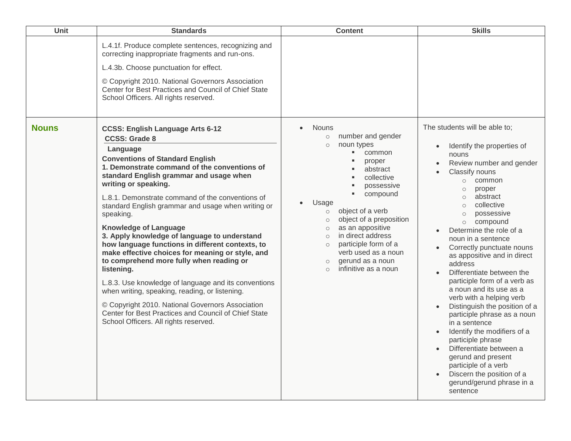| Unit         | <b>Standards</b>                                                                                                                                                                                                                                                                                                                                                                                                                                                                                                                                                                                                                                                                                                                                                                                                                                                                 | <b>Content</b>                                                                                                                                                                                                                                                                                                                                                                                                                      | <b>Skills</b>                                                                                                                                                                                                                                                                                                                                                                                                                                                                                                                                                                                                                                                                                                                                                                                |
|--------------|----------------------------------------------------------------------------------------------------------------------------------------------------------------------------------------------------------------------------------------------------------------------------------------------------------------------------------------------------------------------------------------------------------------------------------------------------------------------------------------------------------------------------------------------------------------------------------------------------------------------------------------------------------------------------------------------------------------------------------------------------------------------------------------------------------------------------------------------------------------------------------|-------------------------------------------------------------------------------------------------------------------------------------------------------------------------------------------------------------------------------------------------------------------------------------------------------------------------------------------------------------------------------------------------------------------------------------|----------------------------------------------------------------------------------------------------------------------------------------------------------------------------------------------------------------------------------------------------------------------------------------------------------------------------------------------------------------------------------------------------------------------------------------------------------------------------------------------------------------------------------------------------------------------------------------------------------------------------------------------------------------------------------------------------------------------------------------------------------------------------------------------|
|              | L.4.1f. Produce complete sentences, recognizing and<br>correcting inappropriate fragments and run-ons.<br>L.4.3b. Choose punctuation for effect.<br>© Copyright 2010. National Governors Association<br>Center for Best Practices and Council of Chief State<br>School Officers. All rights reserved.                                                                                                                                                                                                                                                                                                                                                                                                                                                                                                                                                                            |                                                                                                                                                                                                                                                                                                                                                                                                                                     |                                                                                                                                                                                                                                                                                                                                                                                                                                                                                                                                                                                                                                                                                                                                                                                              |
| <b>Nouns</b> | <b>CCSS: English Language Arts 6-12</b><br><b>CCSS: Grade 8</b><br>Language<br><b>Conventions of Standard English</b><br>1. Demonstrate command of the conventions of<br>standard English grammar and usage when<br>writing or speaking.<br>L.8.1. Demonstrate command of the conventions of<br>standard English grammar and usage when writing or<br>speaking.<br><b>Knowledge of Language</b><br>3. Apply knowledge of language to understand<br>how language functions in different contexts, to<br>make effective choices for meaning or style, and<br>to comprehend more fully when reading or<br>listening.<br>L.8.3. Use knowledge of language and its conventions<br>when writing, speaking, reading, or listening.<br>© Copyright 2010. National Governors Association<br>Center for Best Practices and Council of Chief State<br>School Officers. All rights reserved. | Nouns<br>$\bullet$<br>number and gender<br>$\circ$<br>noun types<br>$\circ$<br>ш<br>common<br>proper<br>abstract<br>collective<br>possessive<br>compound<br>Usage<br>object of a verb<br>$\circ$<br>object of a preposition<br>$\circ$<br>as an appositive<br>$\circ$<br>in direct address<br>$\circ$<br>participle form of a<br>$\circ$<br>verb used as a noun<br>gerund as a noun<br>$\circ$<br>infinitive as a noun<br>$\bigcap$ | The students will be able to;<br>Identify the properties of<br>nouns<br>Review number and gender<br>Classify nouns<br>common<br>$\circ$<br>proper<br>$\circ$<br>abstract<br>$\circ$<br>collective<br>$\circ$<br>possessive<br>$\circ$<br>compound<br>$\circ$<br>Determine the role of a<br>noun in a sentence<br>Correctly punctuate nouns<br>as appositive and in direct<br>address<br>Differentiate between the<br>participle form of a verb as<br>a noun and its use as a<br>verb with a helping verb<br>Distinguish the position of a<br>participle phrase as a noun<br>in a sentence<br>Identify the modifiers of a<br>participle phrase<br>Differentiate between a<br>gerund and present<br>participle of a verb<br>Discern the position of a<br>gerund/gerund phrase in a<br>sentence |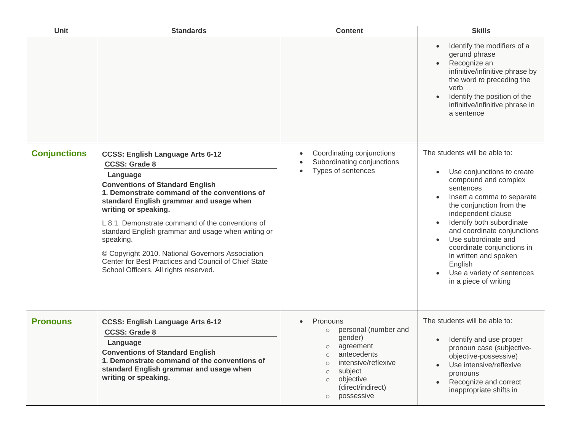| Unit                | <b>Standards</b>                                                                                                                                                                                                                                                                                                                                                                                                                                                                                                     | <b>Content</b>                                                                                                                                                                                                                         | <b>Skills</b>                                                                                                                                                                                                                                                                                                                                                                                             |
|---------------------|----------------------------------------------------------------------------------------------------------------------------------------------------------------------------------------------------------------------------------------------------------------------------------------------------------------------------------------------------------------------------------------------------------------------------------------------------------------------------------------------------------------------|----------------------------------------------------------------------------------------------------------------------------------------------------------------------------------------------------------------------------------------|-----------------------------------------------------------------------------------------------------------------------------------------------------------------------------------------------------------------------------------------------------------------------------------------------------------------------------------------------------------------------------------------------------------|
|                     |                                                                                                                                                                                                                                                                                                                                                                                                                                                                                                                      |                                                                                                                                                                                                                                        | Identify the modifiers of a<br>gerund phrase<br>Recognize an<br>infinitive/infinitive phrase by<br>the word to preceding the<br>verb<br>Identify the position of the<br>infinitive/infinitive phrase in<br>a sentence                                                                                                                                                                                     |
| <b>Conjunctions</b> | <b>CCSS: English Language Arts 6-12</b><br><b>CCSS: Grade 8</b><br>Language<br><b>Conventions of Standard English</b><br>1. Demonstrate command of the conventions of<br>standard English grammar and usage when<br>writing or speaking.<br>L.8.1. Demonstrate command of the conventions of<br>standard English grammar and usage when writing or<br>speaking.<br>© Copyright 2010. National Governors Association<br>Center for Best Practices and Council of Chief State<br>School Officers. All rights reserved. | Coordinating conjunctions<br>Subordinating conjunctions<br>Types of sentences                                                                                                                                                          | The students will be able to:<br>Use conjunctions to create<br>$\bullet$<br>compound and complex<br>sentences<br>Insert a comma to separate<br>the conjunction from the<br>independent clause<br>Identify both subordinate<br>and coordinate conjunctions<br>Use subordinate and<br>coordinate conjunctions in<br>in written and spoken<br>English<br>Use a variety of sentences<br>in a piece of writing |
| <b>Pronouns</b>     | <b>CCSS: English Language Arts 6-12</b><br><b>CCSS: Grade 8</b><br>Language<br><b>Conventions of Standard English</b><br>1. Demonstrate command of the conventions of<br>standard English grammar and usage when<br>writing or speaking.                                                                                                                                                                                                                                                                             | Pronouns<br>personal (number and<br>$\circ$<br>gender)<br>agreement<br>$\cap$<br>antecedents<br>$\circ$<br>intensive/reflexive<br>$\circ$<br>subject<br>$\Omega$<br>objective<br>$\circ$<br>(direct/indirect)<br>possessive<br>$\circ$ | The students will be able to:<br>Identify and use proper<br>$\bullet$<br>pronoun case (subjective-<br>objective-possessive)<br>Use intensive/reflexive<br>pronouns<br>Recognize and correct<br>inappropriate shifts in                                                                                                                                                                                    |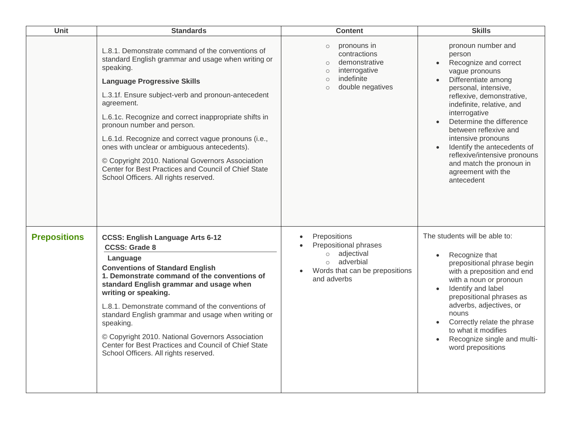| Unit                | <b>Standards</b>                                                                                                                                                                                                                                                                                                                                                                                                                                                                                                                                                                 | <b>Content</b>                                                                                                                                         | <b>Skills</b>                                                                                                                                                                                                                                                                                                                                                                                                            |
|---------------------|----------------------------------------------------------------------------------------------------------------------------------------------------------------------------------------------------------------------------------------------------------------------------------------------------------------------------------------------------------------------------------------------------------------------------------------------------------------------------------------------------------------------------------------------------------------------------------|--------------------------------------------------------------------------------------------------------------------------------------------------------|--------------------------------------------------------------------------------------------------------------------------------------------------------------------------------------------------------------------------------------------------------------------------------------------------------------------------------------------------------------------------------------------------------------------------|
|                     | L.8.1. Demonstrate command of the conventions of<br>standard English grammar and usage when writing or<br>speaking.<br><b>Language Progressive Skills</b><br>L.3.1f. Ensure subject-verb and pronoun-antecedent<br>agreement.<br>L.6.1c. Recognize and correct inappropriate shifts in<br>pronoun number and person.<br>L.6.1d. Recognize and correct vague pronouns (i.e.,<br>ones with unclear or ambiguous antecedents).<br>© Copyright 2010. National Governors Association<br>Center for Best Practices and Council of Chief State<br>School Officers. All rights reserved. | pronouns in<br>$\circ$<br>contractions<br>demonstrative<br>$\circ$<br>interrogative<br>$\circ$<br>indefinite<br>$\circ$<br>double negatives<br>$\circ$ | pronoun number and<br>person<br>Recognize and correct<br>$\bullet$<br>vague pronouns<br>Differentiate among<br>personal, intensive,<br>reflexive, demonstrative,<br>indefinite, relative, and<br>interrogative<br>Determine the difference<br>between reflexive and<br>intensive pronouns<br>Identify the antecedents of<br>reflexive/intensive pronouns<br>and match the pronoun in<br>agreement with the<br>antecedent |
| <b>Prepositions</b> | <b>CCSS: English Language Arts 6-12</b><br><b>CCSS: Grade 8</b><br>Language<br><b>Conventions of Standard English</b><br>1. Demonstrate command of the conventions of<br>standard English grammar and usage when<br>writing or speaking.<br>L.8.1. Demonstrate command of the conventions of<br>standard English grammar and usage when writing or<br>speaking.<br>© Copyright 2010. National Governors Association<br>Center for Best Practices and Council of Chief State<br>School Officers. All rights reserved.                                                             | Prepositions<br>Prepositional phrases<br>adjectival<br>$\circ$<br>adverbial<br>$\circ$<br>Words that can be prepositions<br>and adverbs                | The students will be able to:<br>Recognize that<br>prepositional phrase begin<br>with a preposition and end<br>with a noun or pronoun<br>Identify and label<br>prepositional phrases as<br>adverbs, adjectives, or<br>nouns<br>Correctly relate the phrase<br>to what it modifies<br>Recognize single and multi-<br>word prepositions                                                                                    |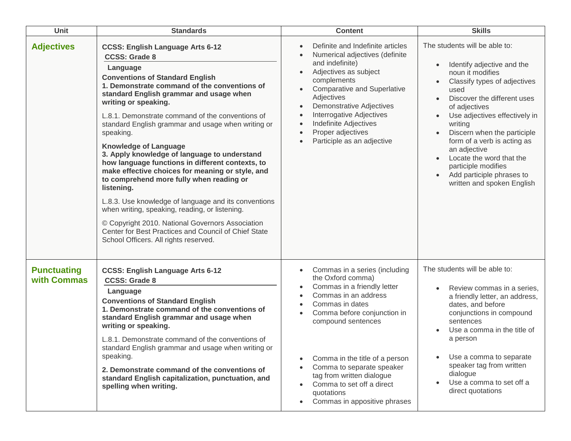| Unit                              | <b>Standards</b>                                                                                                                                                                                                                                                                                                                                                                                                                                                                                                                                                                                                                                                                                                                                                                                                                                                                 | <b>Content</b>                                                                                                                                                                                                                                                                                                                                                                                                                         | <b>Skills</b>                                                                                                                                                                                                                                                                                                                                                                                                                             |
|-----------------------------------|----------------------------------------------------------------------------------------------------------------------------------------------------------------------------------------------------------------------------------------------------------------------------------------------------------------------------------------------------------------------------------------------------------------------------------------------------------------------------------------------------------------------------------------------------------------------------------------------------------------------------------------------------------------------------------------------------------------------------------------------------------------------------------------------------------------------------------------------------------------------------------|----------------------------------------------------------------------------------------------------------------------------------------------------------------------------------------------------------------------------------------------------------------------------------------------------------------------------------------------------------------------------------------------------------------------------------------|-------------------------------------------------------------------------------------------------------------------------------------------------------------------------------------------------------------------------------------------------------------------------------------------------------------------------------------------------------------------------------------------------------------------------------------------|
| <b>Adjectives</b>                 | <b>CCSS: English Language Arts 6-12</b><br><b>CCSS: Grade 8</b><br>Language<br><b>Conventions of Standard English</b><br>1. Demonstrate command of the conventions of<br>standard English grammar and usage when<br>writing or speaking.<br>L.8.1. Demonstrate command of the conventions of<br>standard English grammar and usage when writing or<br>speaking.<br><b>Knowledge of Language</b><br>3. Apply knowledge of language to understand<br>how language functions in different contexts, to<br>make effective choices for meaning or style, and<br>to comprehend more fully when reading or<br>listening.<br>L.8.3. Use knowledge of language and its conventions<br>when writing, speaking, reading, or listening.<br>© Copyright 2010. National Governors Association<br>Center for Best Practices and Council of Chief State<br>School Officers. All rights reserved. | Definite and Indefinite articles<br>$\bullet$<br>Numerical adjectives (definite<br>and indefinite)<br>Adjectives as subject<br>complements<br><b>Comparative and Superlative</b><br>Adjectives<br><b>Demonstrative Adjectives</b><br>$\bullet$<br>Interrogative Adjectives<br>$\bullet$<br><b>Indefinite Adjectives</b><br>$\bullet$<br>Proper adjectives<br>$\bullet$<br>Participle as an adjective<br>$\bullet$                      | The students will be able to:<br>Identify adjective and the<br>noun it modifies<br>Classify types of adjectives<br>used<br>Discover the different uses<br>$\bullet$<br>of adjectives<br>Use adjectives effectively in<br>writing<br>Discern when the participle<br>$\bullet$<br>form of a verb is acting as<br>an adjective<br>Locate the word that the<br>participle modifies<br>Add participle phrases to<br>written and spoken English |
| <b>Punctuating</b><br>with Commas | <b>CCSS: English Language Arts 6-12</b><br><b>CCSS: Grade 8</b><br>Language<br><b>Conventions of Standard English</b><br>1. Demonstrate command of the conventions of<br>standard English grammar and usage when<br>writing or speaking.<br>L.8.1. Demonstrate command of the conventions of<br>standard English grammar and usage when writing or<br>speaking.<br>2. Demonstrate command of the conventions of<br>standard English capitalization, punctuation, and<br>spelling when writing.                                                                                                                                                                                                                                                                                                                                                                                   | Commas in a series (including<br>$\bullet$<br>the Oxford comma)<br>Commas in a friendly letter<br>$\bullet$<br>Commas in an address<br>$\bullet$<br>Commas in dates<br>$\bullet$<br>Comma before conjunction in<br>compound sentences<br>Comma in the title of a person<br>$\bullet$<br>Comma to separate speaker<br>tag from written dialogue<br>Comma to set off a direct<br>quotations<br>Commas in appositive phrases<br>$\bullet$ | The students will be able to:<br>Review commas in a series,<br>$\bullet$<br>a friendly letter, an address,<br>dates, and before<br>conjunctions in compound<br>sentences<br>Use a comma in the title of<br>a person<br>Use a comma to separate<br>speaker tag from written<br>dialogue<br>Use a comma to set off a<br>direct quotations                                                                                                   |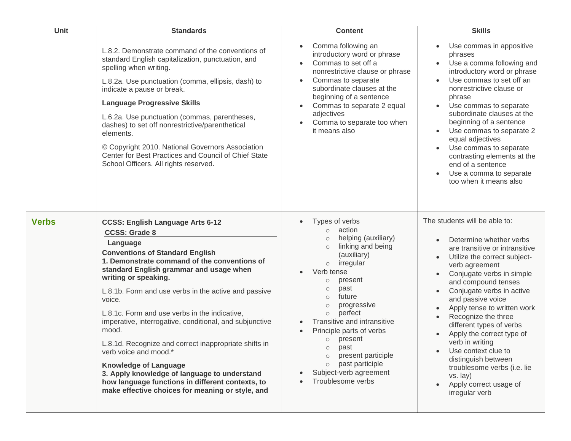| <b>Unit</b>  | <b>Standards</b>                                                                                                                                                                                                                                                                                                                                                                                                                                                                                                                                                                                                                                                                                          | <b>Content</b>                                                                                                                                                                                                                                                                                                                                                                                                                                                         | <b>Skills</b>                                                                                                                                                                                                                                                                                                                                                                                                                                                                                                             |
|--------------|-----------------------------------------------------------------------------------------------------------------------------------------------------------------------------------------------------------------------------------------------------------------------------------------------------------------------------------------------------------------------------------------------------------------------------------------------------------------------------------------------------------------------------------------------------------------------------------------------------------------------------------------------------------------------------------------------------------|------------------------------------------------------------------------------------------------------------------------------------------------------------------------------------------------------------------------------------------------------------------------------------------------------------------------------------------------------------------------------------------------------------------------------------------------------------------------|---------------------------------------------------------------------------------------------------------------------------------------------------------------------------------------------------------------------------------------------------------------------------------------------------------------------------------------------------------------------------------------------------------------------------------------------------------------------------------------------------------------------------|
|              | L.8.2. Demonstrate command of the conventions of<br>standard English capitalization, punctuation, and<br>spelling when writing.<br>L.8.2a. Use punctuation (comma, ellipsis, dash) to<br>indicate a pause or break.<br><b>Language Progressive Skills</b><br>L.6.2a. Use punctuation (commas, parentheses,<br>dashes) to set off nonrestrictive/parenthetical<br>elements.<br>© Copyright 2010. National Governors Association<br>Center for Best Practices and Council of Chief State<br>School Officers. All rights reserved.                                                                                                                                                                           | Comma following an<br>introductory word or phrase<br>Commas to set off a<br>nonrestrictive clause or phrase<br>Commas to separate<br>$\bullet$<br>subordinate clauses at the<br>beginning of a sentence<br>Commas to separate 2 equal<br>adjectives<br>Comma to separate too when<br>it means also                                                                                                                                                                     | Use commas in appositive<br>phrases<br>Use a comma following and<br>introductory word or phrase<br>Use commas to set off an<br>nonrestrictive clause or<br>phrase<br>Use commas to separate<br>subordinate clauses at the<br>beginning of a sentence<br>Use commas to separate 2<br>equal adjectives<br>Use commas to separate<br>contrasting elements at the<br>end of a sentence<br>Use a comma to separate<br>too when it means also                                                                                   |
| <b>Verbs</b> | <b>CCSS: English Language Arts 6-12</b><br><b>CCSS: Grade 8</b><br>Language<br><b>Conventions of Standard English</b><br>1. Demonstrate command of the conventions of<br>standard English grammar and usage when<br>writing or speaking.<br>L.8.1b. Form and use verbs in the active and passive<br>voice.<br>L.8.1c. Form and use verbs in the indicative,<br>imperative, interrogative, conditional, and subjunctive<br>mood.<br>L.8.1d. Recognize and correct inappropriate shifts in<br>verb voice and mood.*<br><b>Knowledge of Language</b><br>3. Apply knowledge of language to understand<br>how language functions in different contexts, to<br>make effective choices for meaning or style, and | Types of verbs<br>action<br>$\circ$<br>helping (auxiliary)<br>$\circ$<br>linking and being<br>$\circ$<br>(auxiliary)<br>irregular<br>$\circ$<br>Verb tense<br>present<br>$\circ$<br>past<br>$\circ$<br>future<br>$\circ$<br>progressive<br>$\circ$<br>perfect<br>$\circ$<br>Transitive and intransitive<br>Principle parts of verbs<br>o present<br>past<br>present participle<br>$\circ$<br>past participle<br>$\circ$<br>Subject-verb agreement<br>Troublesome verbs | The students will be able to:<br>Determine whether verbs<br>are transitive or intransitive<br>Utilize the correct subject-<br>verb agreement<br>Conjugate verbs in simple<br>and compound tenses<br>Conjugate verbs in active<br>and passive voice<br>Apply tense to written work<br>Recognize the three<br>different types of verbs<br>Apply the correct type of<br>verb in writing<br>Use context clue to<br>distinguish between<br>troublesome verbs (i.e. lie<br>vs. lay)<br>Apply correct usage of<br>irregular verb |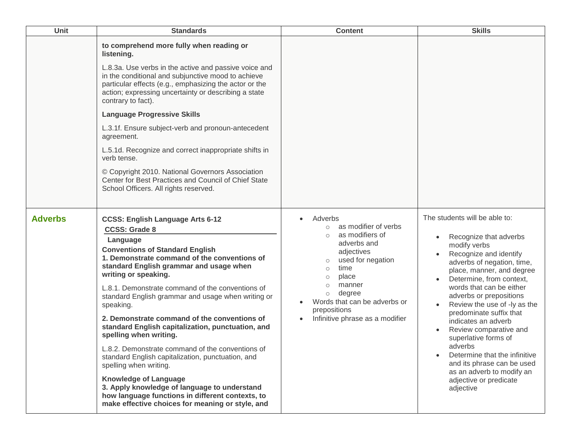| <b>Unit</b>    | <b>Standards</b>                                                                                                                                                                                                                                                                                                                                                                                                                                                                                                                                                                                                                                                                                                                                                                                                          | <b>Content</b>                                                                                                                                                                                                                                                                                               | <b>Skills</b>                                                                                                                                                                                                                                                                                                                                                                                                                                                                                                                     |
|----------------|---------------------------------------------------------------------------------------------------------------------------------------------------------------------------------------------------------------------------------------------------------------------------------------------------------------------------------------------------------------------------------------------------------------------------------------------------------------------------------------------------------------------------------------------------------------------------------------------------------------------------------------------------------------------------------------------------------------------------------------------------------------------------------------------------------------------------|--------------------------------------------------------------------------------------------------------------------------------------------------------------------------------------------------------------------------------------------------------------------------------------------------------------|-----------------------------------------------------------------------------------------------------------------------------------------------------------------------------------------------------------------------------------------------------------------------------------------------------------------------------------------------------------------------------------------------------------------------------------------------------------------------------------------------------------------------------------|
|                | to comprehend more fully when reading or<br>listening.<br>L.8.3a. Use verbs in the active and passive voice and<br>in the conditional and subjunctive mood to achieve<br>particular effects (e.g., emphasizing the actor or the<br>action; expressing uncertainty or describing a state<br>contrary to fact).<br><b>Language Progressive Skills</b><br>L.3.1f. Ensure subject-verb and pronoun-antecedent<br>agreement.<br>L.5.1d. Recognize and correct inappropriate shifts in<br>verb tense.<br>© Copyright 2010. National Governors Association<br>Center for Best Practices and Council of Chief State<br>School Officers. All rights reserved.                                                                                                                                                                      |                                                                                                                                                                                                                                                                                                              |                                                                                                                                                                                                                                                                                                                                                                                                                                                                                                                                   |
| <b>Adverbs</b> | <b>CCSS: English Language Arts 6-12</b><br><b>CCSS: Grade 8</b><br>Language<br><b>Conventions of Standard English</b><br>1. Demonstrate command of the conventions of<br>standard English grammar and usage when<br>writing or speaking.<br>L.8.1. Demonstrate command of the conventions of<br>standard English grammar and usage when writing or<br>speaking.<br>2. Demonstrate command of the conventions of<br>standard English capitalization, punctuation, and<br>spelling when writing.<br>L.8.2. Demonstrate command of the conventions of<br>standard English capitalization, punctuation, and<br>spelling when writing.<br><b>Knowledge of Language</b><br>3. Apply knowledge of language to understand<br>how language functions in different contexts, to<br>make effective choices for meaning or style, and | Adverbs<br>as modifier of verbs<br>$\circ$<br>as modifiers of<br>$\bigcirc$<br>adverbs and<br>adjectives<br>used for negation<br>$\circ$<br>time<br>$\circ$<br>place<br>$\circ$<br>manner<br>$\circ$<br>degree<br>$\circ$<br>Words that can be adverbs or<br>prepositions<br>Infinitive phrase as a modifier | The students will be able to:<br>Recognize that adverbs<br>modify verbs<br>Recognize and identify<br>adverbs of negation, time,<br>place, manner, and degree<br>Determine, from context,<br>words that can be either<br>adverbs or prepositions<br>Review the use of -ly as the<br>predominate suffix that<br>indicates an adverb<br>Review comparative and<br>superlative forms of<br>adverbs<br>Determine that the infinitive<br>and its phrase can be used<br>as an adverb to modify an<br>adjective or predicate<br>adjective |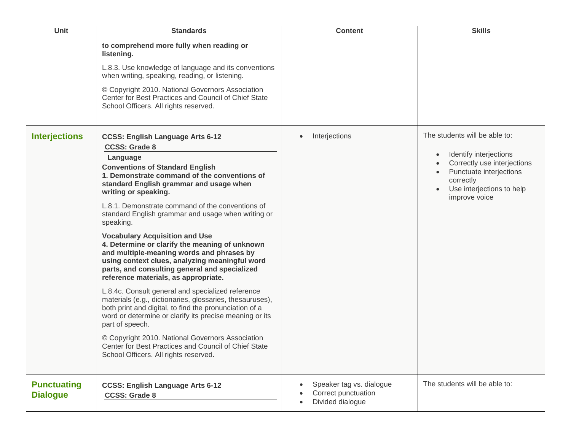| <b>Unit</b>                           | <b>Standards</b>                                                                                                                                                                                                                                                                                                                                                                                                                                                                                                                                                                                                                                                                                                                                                                                                                                                                                                                                                                                                                                                 | <b>Content</b>                                                                   | <b>Skills</b>                                                                                                                                                                |
|---------------------------------------|------------------------------------------------------------------------------------------------------------------------------------------------------------------------------------------------------------------------------------------------------------------------------------------------------------------------------------------------------------------------------------------------------------------------------------------------------------------------------------------------------------------------------------------------------------------------------------------------------------------------------------------------------------------------------------------------------------------------------------------------------------------------------------------------------------------------------------------------------------------------------------------------------------------------------------------------------------------------------------------------------------------------------------------------------------------|----------------------------------------------------------------------------------|------------------------------------------------------------------------------------------------------------------------------------------------------------------------------|
|                                       | to comprehend more fully when reading or<br>listening.<br>L.8.3. Use knowledge of language and its conventions<br>when writing, speaking, reading, or listening.<br>© Copyright 2010. National Governors Association<br>Center for Best Practices and Council of Chief State<br>School Officers. All rights reserved.                                                                                                                                                                                                                                                                                                                                                                                                                                                                                                                                                                                                                                                                                                                                            |                                                                                  |                                                                                                                                                                              |
| <b>Interjections</b>                  | <b>CCSS: English Language Arts 6-12</b><br><b>CCSS: Grade 8</b><br>Language<br><b>Conventions of Standard English</b><br>1. Demonstrate command of the conventions of<br>standard English grammar and usage when<br>writing or speaking.<br>L.8.1. Demonstrate command of the conventions of<br>standard English grammar and usage when writing or<br>speaking.<br><b>Vocabulary Acquisition and Use</b><br>4. Determine or clarify the meaning of unknown<br>and multiple-meaning words and phrases by<br>using context clues, analyzing meaningful word<br>parts, and consulting general and specialized<br>reference materials, as appropriate.<br>L.8.4c. Consult general and specialized reference<br>materials (e.g., dictionaries, glossaries, thesauruses),<br>both print and digital, to find the pronunciation of a<br>word or determine or clarify its precise meaning or its<br>part of speech.<br>© Copyright 2010. National Governors Association<br>Center for Best Practices and Council of Chief State<br>School Officers. All rights reserved. | Interjections<br>$\bullet$                                                       | The students will be able to:<br>Identify interjections<br>Correctly use interjections<br>Punctuate interjections<br>correctly<br>Use interjections to help<br>improve voice |
| <b>Punctuating</b><br><b>Dialogue</b> | <b>CCSS: English Language Arts 6-12</b><br><b>CCSS: Grade 8</b>                                                                                                                                                                                                                                                                                                                                                                                                                                                                                                                                                                                                                                                                                                                                                                                                                                                                                                                                                                                                  | Speaker tag vs. dialogue<br>$\bullet$<br>Correct punctuation<br>Divided dialogue | The students will be able to:                                                                                                                                                |